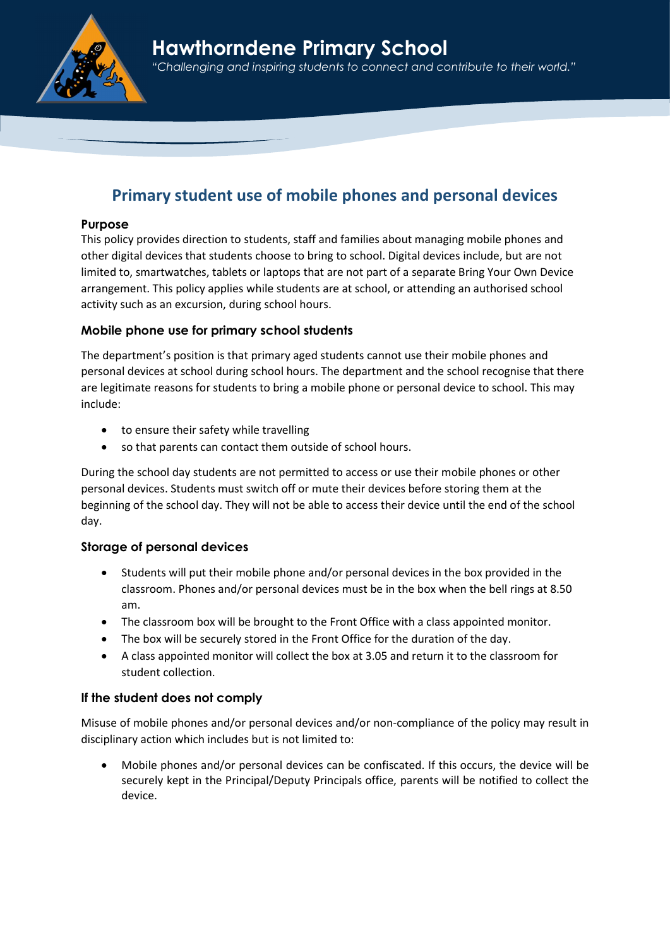

# Primary student use of mobile phones and personal devices

#### Purpose

This policy provides direction to students, staff and families about managing mobile phones and other digital devices that students choose to bring to school. Digital devices include, but are not limited to, smartwatches, tablets or laptops that are not part of a separate Bring Your Own Device arrangement. This policy applies while students are at school, or attending an authorised school activity such as an excursion, during school hours.

## Mobile phone use for primary school students

The department's position is that primary aged students cannot use their mobile phones and personal devices at school during school hours. The department and the school recognise that there are legitimate reasons for students to bring a mobile phone or personal device to school. This may include:

- to ensure their safety while travelling
- so that parents can contact them outside of school hours.

During the school day students are not permitted to access or use their mobile phones or other personal devices. Students must switch off or mute their devices before storing them at the beginning of the school day. They will not be able to access their device until the end of the school day.

## Storage of personal devices

- Students will put their mobile phone and/or personal devices in the box provided in the classroom. Phones and/or personal devices must be in the box when the bell rings at 8.50 am.
- The classroom box will be brought to the Front Office with a class appointed monitor.
- The box will be securely stored in the Front Office for the duration of the day.
- A class appointed monitor will collect the box at 3.05 and return it to the classroom for student collection.

## If the student does not comply

Misuse of mobile phones and/or personal devices and/or non-compliance of the policy may result in disciplinary action which includes but is not limited to:

 Mobile phones and/or personal devices can be confiscated. If this occurs, the device will be securely kept in the Principal/Deputy Principals office, parents will be notified to collect the device.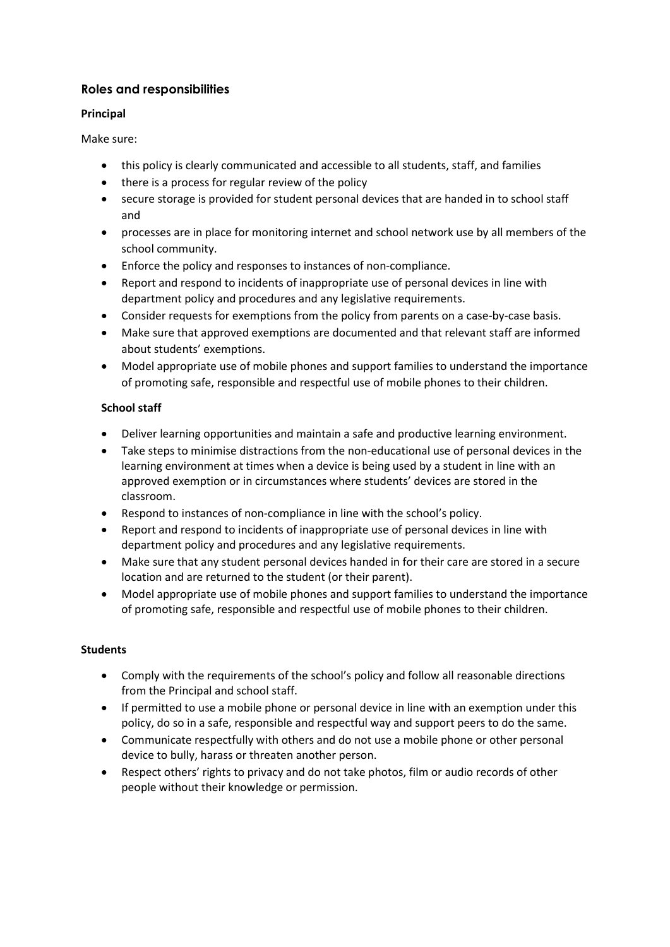## Roles and responsibilities

#### Principal

Make sure:

- this policy is clearly communicated and accessible to all students, staff, and families
- there is a process for regular review of the policy
- secure storage is provided for student personal devices that are handed in to school staff and
- processes are in place for monitoring internet and school network use by all members of the school community.
- Enforce the policy and responses to instances of non-compliance.
- Report and respond to incidents of inappropriate use of personal devices in line with department policy and procedures and any legislative requirements.
- Consider requests for exemptions from the policy from parents on a case-by-case basis.
- Make sure that approved exemptions are documented and that relevant staff are informed about students' exemptions.
- Model appropriate use of mobile phones and support families to understand the importance of promoting safe, responsible and respectful use of mobile phones to their children.

## School staff

- Deliver learning opportunities and maintain a safe and productive learning environment.
- Take steps to minimise distractions from the non-educational use of personal devices in the learning environment at times when a device is being used by a student in line with an approved exemption or in circumstances where students' devices are stored in the classroom.
- Respond to instances of non-compliance in line with the school's policy.
- Report and respond to incidents of inappropriate use of personal devices in line with department policy and procedures and any legislative requirements.
- Make sure that any student personal devices handed in for their care are stored in a secure location and are returned to the student (or their parent).
- Model appropriate use of mobile phones and support families to understand the importance of promoting safe, responsible and respectful use of mobile phones to their children.

#### **Students**

- Comply with the requirements of the school's policy and follow all reasonable directions from the Principal and school staff.
- If permitted to use a mobile phone or personal device in line with an exemption under this policy, do so in a safe, responsible and respectful way and support peers to do the same.
- Communicate respectfully with others and do not use a mobile phone or other personal device to bully, harass or threaten another person.
- Respect others' rights to privacy and do not take photos, film or audio records of other people without their knowledge or permission.